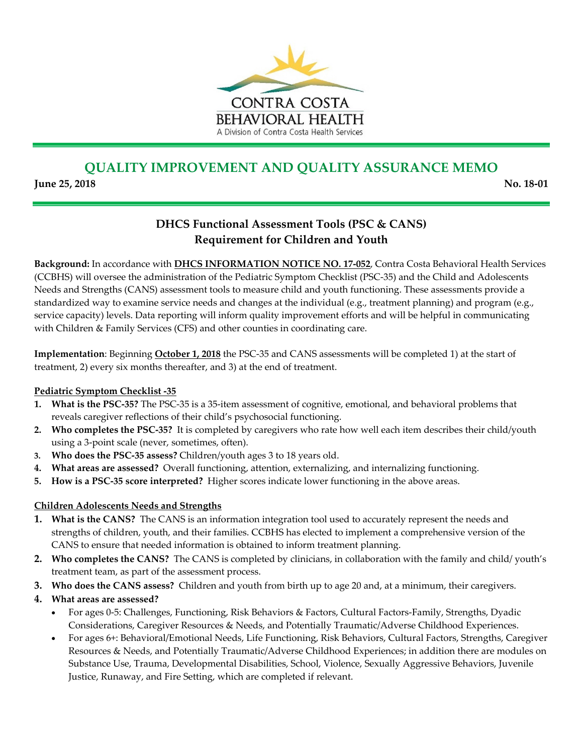

## **QUALITY IMPROVEMENT AND QUALITY ASSURANCE MEMO**

**June 25, 2018 No. 18‐01**

## **DHCS Functional Assessment Tools (PSC & CANS) Requirement for Children and Youth**

**Background:** In accordance with **DHCS INFORMATION NOTICE NO. 17‐052**, Contra Costa Behavioral Health Services (CCBHS) will oversee the administration of the Pediatric Symptom Checklist (PSC‐35) and the Child and Adolescents Needs and Strengths (CANS) assessment tools to measure child and youth functioning. These assessments provide a standardized way to examine service needs and changes at the individual (e.g., treatment planning) and program (e.g., service capacity) levels. Data reporting will inform quality improvement efforts and will be helpful in communicating with Children & Family Services (CFS) and other counties in coordinating care.

**Implementation**: Beginning **October 1, 2018** the PSC‐35 and CANS assessments will be completed 1) at the start of treatment, 2) every six months thereafter, and 3) at the end of treatment.

## **Pediatric Symptom Checklist ‐35**

- **1. What is the PSC‐35?** The PSC‐35 is a 35‐item assessment of cognitive, emotional, and behavioral problems that reveals caregiver reflections of their child's psychosocial functioning.
- **2. Who completes the PSC‐35?** It is completed by caregivers who rate how well each item describes their child/youth using a 3‐point scale (never, sometimes, often).
- **3. Who does the PSC‐35 assess?** Children/youth ages 3 to 18 years old.
- **4. What areas are assessed?** Overall functioning, attention, externalizing, and internalizing functioning.
- **5. How is a PSC‐35 score interpreted?** Higher scores indicate lower functioning in the above areas.

## **Children Adolescents Needs and Strengths**

- **1. What is the CANS?** The CANS is an information integration tool used to accurately represent the needs and strengths of children, youth, and their families. CCBHS has elected to implement a comprehensive version of the CANS to ensure that needed information is obtained to inform treatment planning.
- **2. Who completes the CANS?** The CANS is completed by clinicians, in collaboration with the family and child/ youth's treatment team, as part of the assessment process.
- **3. Who does the CANS assess?** Children and youth from birth up to age 20 and, at a minimum, their caregivers.
- **4. What areas are assessed?** 
	- For ages 0‐5: Challenges, Functioning, Risk Behaviors & Factors, Cultural Factors‐Family, Strengths, Dyadic Considerations, Caregiver Resources & Needs, and Potentially Traumatic/Adverse Childhood Experiences.
	- For ages 6+: Behavioral/Emotional Needs, Life Functioning, Risk Behaviors, Cultural Factors, Strengths, Caregiver Resources & Needs, and Potentially Traumatic/Adverse Childhood Experiences; in addition there are modules on Substance Use, Trauma, Developmental Disabilities, School, Violence, Sexually Aggressive Behaviors, Juvenile Justice, Runaway, and Fire Setting, which are completed if relevant.